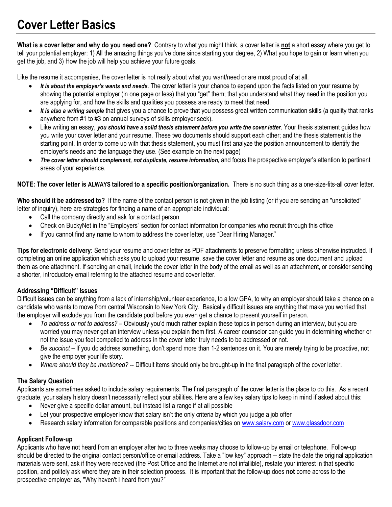# **Cover Letter Basics**

**What is a cover letter and why do you need one?** Contrary to what you might think, a cover letter is **not** a short essay where you get to tell your potential employer: 1) All the amazing things you've done since starting your degree, 2) What you hope to gain or learn when you get the job, and 3) How the job will help you achieve your future goals.

Like the resume it accompanies, the cover letter is not really about what you want/need or are most proud of at all.

- *It is about the employer's wants and needs.* The cover letter is your chance to expand upon the facts listed on your resume by showing the potential employer (in one page or less) that you "get" them; that you understand what they need in the position you are applying for, and how the skills and qualities you possess are ready to meet that need.
- It is also a writing sample that gives you a chance to prove that you possess great written communication skills (a quality that ranks anywhere from #1 to #3 on annual surveys of skills employer seek).
- Like writing an essay, *you should have a solid thesis statement before you write the cover letter*. Your thesis statement guides how you write your cover letter and your resume. These two documents should support each other; and the thesis statement is the starting point. In order to come up with that thesis statement, you must first analyze the position announcement to identify the employer's needs and the language they use. (See example on the next page)
- *The cover letter should complement, not duplicate, resume information,* and focus the prospective employer's attention to pertinent areas of your experience.

**NOTE: The cover letter is ALWAYS tailored to a specific position/organization.** There is no such thing as a one-size-fits-all cover letter.

**Who should it be addressed to?** If the name of the contact person is not given in the job listing (or if you are sending an "unsolicited" letter of inquiry), here are strategies for finding a name of an appropriate individual:

- Call the company directly and ask for a contact person
- Check on BuckyNet in the "Employers" section for contact information for companies who recruit through this office
- If you cannot find any name to whom to address the cover letter, use "Dear Hiring Manager."

**Tips for electronic delivery:** Send your resume and cover letter as PDF attachments to preserve formatting unless otherwise instructed. If completing an online application which asks you to upload your resume, save the cover letter and resume as one document and upload them as one attachment. If sending an email, include the cover letter in the body of the email as well as an attachment, or consider sending a shorter, introductory email referring to the attached resume and cover letter.

# **Addressing "Difficult" Issues**

Difficult issues can be anything from a lack of internship/volunteer experience, to a low GPA, to why an employer should take a chance on a candidate who wants to move from central Wisconsin to New York City. Basically difficult issues are anything that make you worried that the employer will exclude you from the candidate pool before you even get a chance to present yourself in person.

- *To address or not to address?* Obviously you'd much rather explain these topics in person during an interview, but you are worried you may never get an interview unless you explain them first. A career counselor can guide you in determining whether or not the issue you feel compelled to address in the cover letter truly needs to be addressed or not.
- *Be succinct* If you do address something, don't spend more than 1-2 sentences on it. You are merely trying to be proactive, not give the employer your life story.
- *Where should they be mentioned?* -- Difficult items should only be brought-up in the final paragraph of the cover letter.

# **The Salary Question**

Applicants are sometimes asked to include salary requirements. The final paragraph of the cover letter is the place to do this. As a recent graduate, your salary history doesn't necessarily reflect your abilities. Here are a few key salary tips to keep in mind if asked about this:

- Never give a specific dollar amount, but instead list a range if at all possible
- Let your prospective employer know that salary isn't the only criteria by which you judge a job offer
- Research salary information for comparable positions and companies/cities on [www.salary.com](http://www.salary.com/) o[r www.glassdoor.com](http://www.glassdoor.com/)

# **Applicant Follow-up**

Applicants who have not heard from an employer after two to three weeks may choose to follow-up by email or telephone. Follow-up should be directed to the original contact person/office or email address. Take a "low key" approach -- state the date the original application materials were sent, ask if they were received (the Post Office and the Internet are not infallible), restate your interest in that specific position, and politely ask where they are in their selection process. It is important that the follow-up does **not** come across to the prospective employer as, "Why haven't I heard from you?"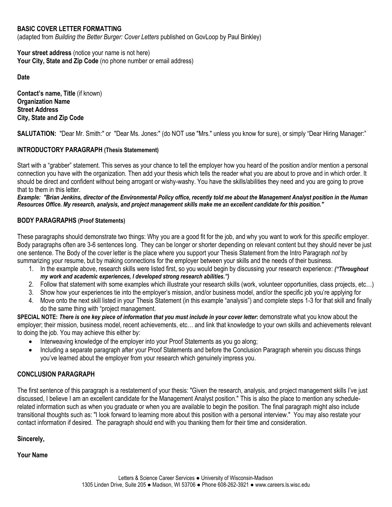# **BASIC COVER LETTER FORMATTING**

(adapted from *Building the Better Burger: Cover Letters* published on GovLoop by Paul Binkley)

Your street address (notice your name is not here) **Your City, State and Zip Code** (no phone number or email address)

**Date**

**Contact's name, Title** (if known) **Organization Name Street Address City, State and Zip Code**

**SALUTATION:** "Dear Mr. Smith:" or "Dear Ms. Jones:" (do NOT use "Mrs." unless you know for sure), or simply "Dear Hiring Manager:"

# **INTRODUCTORY PARAGRAPH (Thesis Statemement)**

Start with a "grabber" statement. This serves as your chance to tell the employer how you heard of the position and/or mention a personal connection you have with the organization. Then add your thesis which tells the reader what you are about to prove and in which order. It should be direct and confident without being arrogant or wishy-washy. You have the skills/abilities they need and you are going to prove that to them in this letter.

*Example: "Brian Jenkins, director of the Environmental Policy office, recently told me about the Management Analyst position in the Human Resources Office. My research, analysis, and project management skills make me an excellent candidate for this position."*

# **BODY PARAGRAPHS (Proof Statements)**

These paragraphs should demonstrate two things: Why you are a good fit for the job, and why you want to work for this *specific* employer. Body paragraphs often are 3-6 sentences long. They can be longer or shorter depending on relevant content but they should never be just one sentence. The Body of the cover letter is the place where you support your Thesis Statement from the Intro Paragraph *not* by summarizing your resume, but by making connections for the employer between your skills and the needs of their business.

- 1. In the example above, research skills were listed first, so you would begin by discussing your research experience: *("Throughout my work and academic experiences, I developed strong research abilities.")*
- 2. Follow that statement with some examples which illustrate your research skills (work, volunteer opportunities, class projects, etc…)
- 3. Show how your experiences tie into the employer's mission, and/or business model, and/or the specific job you're applying for
- 4. Move onto the next skill listed in your Thesis Statement (in this example "analysis") and complete steps 1-3 for that skill and finally do the same thing with "project management.

**SPECIAL NOTE:** *There is one key piece of information that you must include in your cover letter***:** demonstrate what you know about the employer; their mission, business model, recent achievements, etc… and link that knowledge to your own skills and achievements relevant to doing the job. You may achieve this either by:

- Interweaving knowledge of the employer into your Proof Statements as you go along;
- Including a separate paragraph after your Proof Statements and before the Conclusion Paragraph wherein you discuss things you've learned about the employer from your research which genuinely impress you.

# **CONCLUSION PARAGRAPH**

The first sentence of this paragraph is a restatement of your thesis: "Given the research, analysis, and project management skills I've just discussed, I believe I am an excellent candidate for the Management Analyst position." This is also the place to mention any schedulerelated information such as when you graduate or when you are available to begin the position. The final paragraph might also include transitional thoughts such as: "I look forward to learning more about this position with a personal interview." You may also restate your contact information if desired. The paragraph should end with you thanking them for their time and consideration.

**Sincerely,**

**Your Name**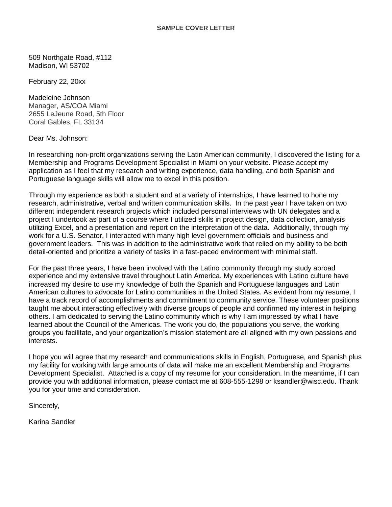509 Northgate Road, #112 Madison, WI 53702

February 22, 20xx

Madeleine Johnson Manager, AS/COA Miami 2655 LeJeune Road, 5th Floor Coral Gables, FL 33134

Dear Ms. Johnson:

In researching non-profit organizations serving the Latin American community, I discovered the listing for a Membership and Programs Development Specialist in Miami on your website. Please accept my application as I feel that my research and writing experience, data handling, and both Spanish and Portuguese language skills will allow me to excel in this position.

Through my experience as both a student and at a variety of internships, I have learned to hone my research, administrative, verbal and written communication skills. In the past year I have taken on two different independent research projects which included personal interviews with UN delegates and a project I undertook as part of a course where I utilized skills in project design, data collection, analysis utilizing Excel, and a presentation and report on the interpretation of the data. Additionally, through my work for a U.S. Senator, I interacted with many high level government officials and business and government leaders. This was in addition to the administrative work that relied on my ability to be both detail-oriented and prioritize a variety of tasks in a fast-paced environment with minimal staff.

For the past three years, I have been involved with the Latino community through my study abroad experience and my extensive travel throughout Latin America. My experiences with Latino culture have increased my desire to use my knowledge of both the Spanish and Portuguese languages and Latin American cultures to advocate for Latino communities in the United States. As evident from my resume, I have a track record of accomplishments and commitment to community service. These volunteer positions taught me about interacting effectively with diverse groups of people and confirmed my interest in helping others. I am dedicated to serving the Latino community which is why I am impressed by what I have learned about the Council of the Americas. The work you do, the populations you serve, the working groups you facilitate, and your organization's mission statement are all aligned with my own passions and interests.

I hope you will agree that my research and communications skills in English, Portuguese, and Spanish plus my facility for working with large amounts of data will make me an excellent Membership and Programs Development Specialist. Attached is a copy of my resume for your consideration. In the meantime, if I can provide you with additional information, please contact me at 608-555-1298 or ksandler@wisc.edu. Thank you for your time and consideration.

Sincerely,

Karina Sandler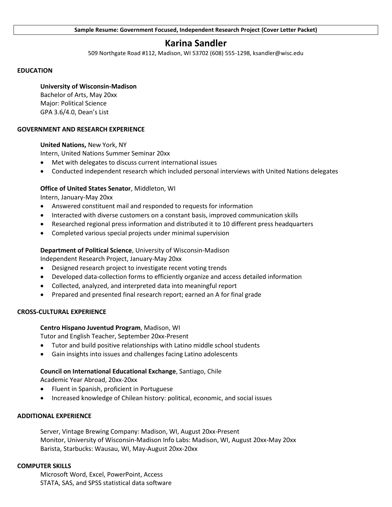# **Karina Sandler**

509 Northgate Road #112, Madison, WI 53702 (608) 555-1298, ksandler@wisc.edu

#### **EDUCATION**

#### **University of Wisconsin-Madison**

Bachelor of Arts, May 20xx Major: Political Science GPA 3.6/4.0, Dean's List

#### **GOVERNMENT AND RESEARCH EXPERIENCE**

# **United Nations,** New York, NY

Intern, United Nations Summer Seminar 20xx

- Met with delegates to discuss current international issues
- Conducted independent research which included personal interviews with United Nations delegates

# **Office of United States Senator**, Middleton, WI

Intern, January-May 20xx

- Answered constituent mail and responded to requests for information
- Interacted with diverse customers on a constant basis, improved communication skills
- Researched regional press information and distributed it to 10 different press headquarters
- Completed various special projects under minimal supervision

#### **Department of Political Science**, University of Wisconsin-Madison

Independent Research Project, January-May 20xx

- Designed research project to investigate recent voting trends
- Developed data-collection forms to efficiently organize and access detailed information
- Collected, analyzed, and interpreted data into meaningful report
- Prepared and presented final research report; earned an A for final grade

#### **CROSS-CULTURAL EXPERIENCE**

# **Centro Hispano Juventud Program**, Madison, WI

Tutor and English Teacher, September 20xx-Present

- Tutor and build positive relationships with Latino middle school students
- Gain insights into issues and challenges facing Latino adolescents

# **Council on International Educational Exchange**, Santiago, Chile

Academic Year Abroad, 20xx-20xx

- Fluent in Spanish, proficient in Portuguese
- Increased knowledge of Chilean history: political, economic, and social issues

#### **ADDITIONAL EXPERIENCE**

Server, Vintage Brewing Company: Madison, WI, August 20xx-Present Monitor, University of Wisconsin-Madison Info Labs: Madison, WI, August 20xx-May 20xx Barista, Starbucks: Wausau, WI, May-August 20xx-20xx

#### **COMPUTER SKILLS**

Microsoft Word, Excel, PowerPoint, Access STATA, SAS, and SPSS statistical data software